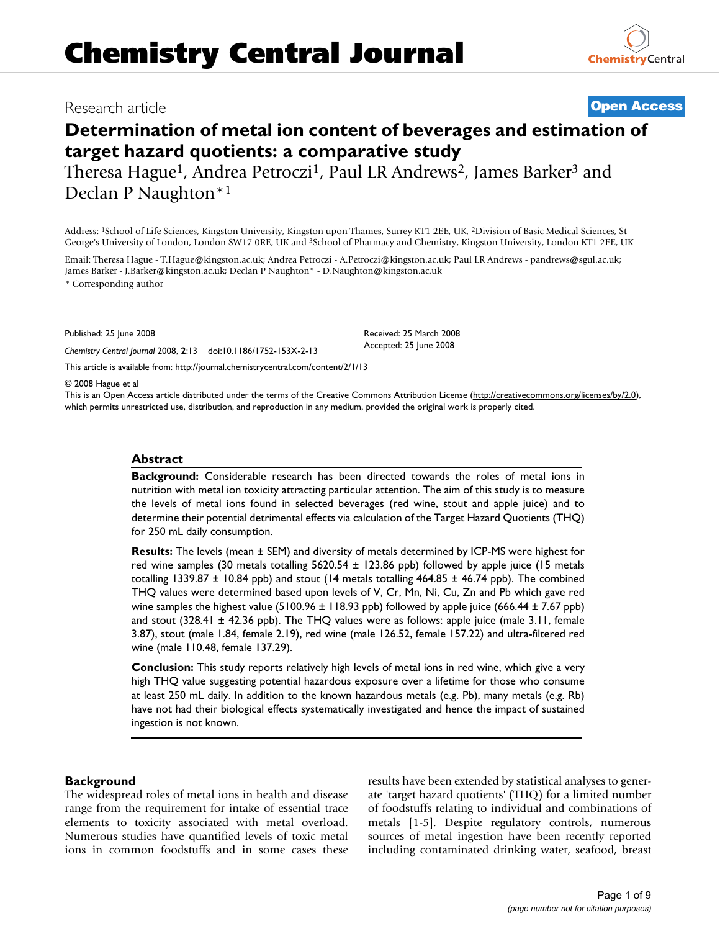# Research article **[Open Access](http://www.biomedcentral.com/info/about/charter/)**

# **Determination of metal ion content of beverages and estimation of target hazard quotients: a comparative study**

Theresa Hague<sup>1</sup>, Andrea Petroczi<sup>1</sup>, Paul LR Andrews<sup>2</sup>, James Barker<sup>3</sup> and Declan P Naughton\*1

Address: 1School of Life Sciences, Kingston University, Kingston upon Thames, Surrey KT1 2EE, UK, 2Division of Basic Medical Sciences, St George's University of London, London SW17 0RE, UK and 3School of Pharmacy and Chemistry, Kingston University, London KT1 2EE, UK

Email: Theresa Hague - T.Hague@kingston.ac.uk; Andrea Petroczi - A.Petroczi@kingston.ac.uk; Paul LR Andrews - pandrews@sgul.ac.uk; James Barker - J.Barker@kingston.ac.uk; Declan P Naughton\* - D.Naughton@kingston.ac.uk

\* Corresponding author

Published: 25 June 2008

*Chemistry Central Journal* 2008, **2**:13 doi:10.1186/1752-153X-2-13

[This article is available from: http://journal.chemistrycentral.com/content/2/1/13](http://journal.chemistrycentral.com/content/2/1/13)

#### © 2008 Hague et al

This is an Open Access article distributed under the terms of the Creative Commons Attribution License [\(http://creativecommons.org/licenses/by/2.0\)](http://creativecommons.org/licenses/by/2.0), which permits unrestricted use, distribution, and reproduction in any medium, provided the original work is properly cited.

#### **Abstract**

**Background:** Considerable research has been directed towards the roles of metal ions in nutrition with metal ion toxicity attracting particular attention. The aim of this study is to measure the levels of metal ions found in selected beverages (red wine, stout and apple juice) and to determine their potential detrimental effects via calculation of the Target Hazard Quotients (THQ) for 250 mL daily consumption.

**Results:** The levels (mean ± SEM) and diversity of metals determined by ICP-MS were highest for red wine samples (30 metals totalling 5620.54 ± 123.86 ppb) followed by apple juice (15 metals totalling 1339.87  $\pm$  10.84 ppb) and stout (14 metals totalling 464.85  $\pm$  46.74 ppb). The combined THQ values were determined based upon levels of V, Cr, Mn, Ni, Cu, Zn and Pb which gave red wine samples the highest value (5100.96 ± 118.93 ppb) followed by apple juice (666.44 ± 7.67 ppb) and stout (328.41 ± 42.36 ppb). The THQ values were as follows: apple juice (male 3.11, female 3.87), stout (male 1.84, female 2.19), red wine (male 126.52, female 157.22) and ultra-filtered red wine (male 110.48, female 137.29).

**Conclusion:** This study reports relatively high levels of metal ions in red wine, which give a very high THQ value suggesting potential hazardous exposure over a lifetime for those who consume at least 250 mL daily. In addition to the known hazardous metals (e.g. Pb), many metals (e.g. Rb) have not had their biological effects systematically investigated and hence the impact of sustained ingestion is not known.

#### **Background**

The widespread roles of metal ions in health and disease range from the requirement for intake of essential trace elements to toxicity associated with metal overload. Numerous studies have quantified levels of toxic metal ions in common foodstuffs and in some cases these results have been extended by statistical analyses to generate 'target hazard quotients' (THQ) for a limited number of foodstuffs relating to individual and combinations of metals [1-5]. Despite regulatory controls, numerous sources of metal ingestion have been recently reported including contaminated drinking water, seafood, breast



Received: 25 March 2008

Accepted: 25 June 2008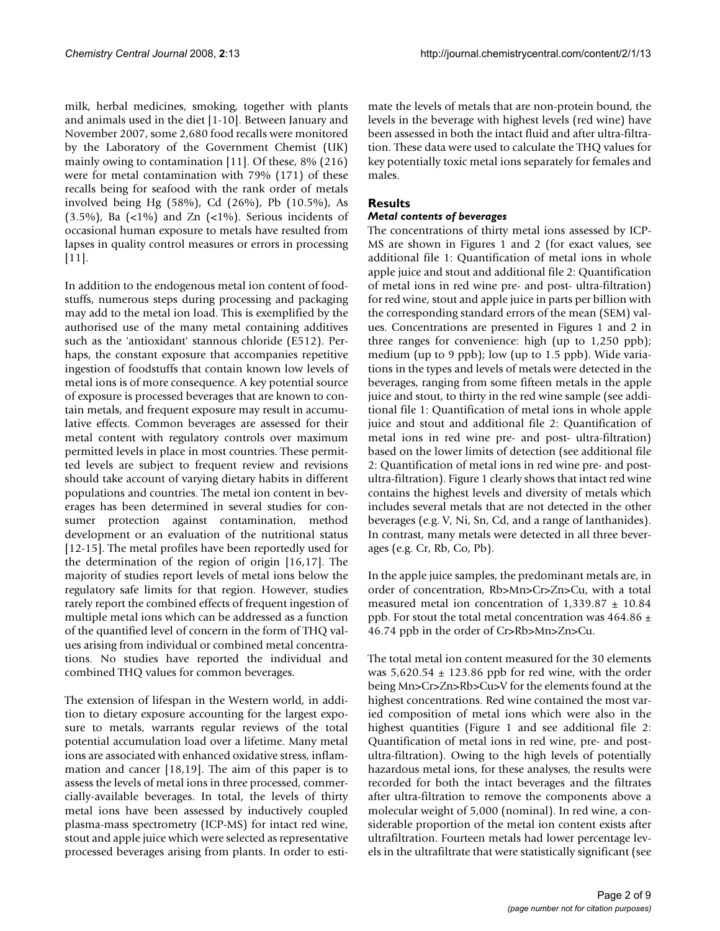milk, herbal medicines, smoking, together with plants and animals used in the diet [1-10]. Between January and November 2007, some 2,680 food recalls were monitored by the Laboratory of the Government Chemist (UK) mainly owing to contamination [11]. Of these, 8% (216) were for metal contamination with 79% (171) of these recalls being for seafood with the rank order of metals involved being Hg (58%), Cd (26%), Pb (10.5%), As  $(3.5\%)$ , Ba  $(\langle 1\% \rangle)$  and Zn  $(\langle 1\% \rangle)$ . Serious incidents of occasional human exposure to metals have resulted from lapses in quality control measures or errors in processing [11].

In addition to the endogenous metal ion content of foodstuffs, numerous steps during processing and packaging may add to the metal ion load. This is exemplified by the authorised use of the many metal containing additives such as the 'antioxidant' stannous chloride (E512). Perhaps, the constant exposure that accompanies repetitive ingestion of foodstuffs that contain known low levels of metal ions is of more consequence. A key potential source of exposure is processed beverages that are known to contain metals, and frequent exposure may result in accumulative effects. Common beverages are assessed for their metal content with regulatory controls over maximum permitted levels in place in most countries. These permitted levels are subject to frequent review and revisions should take account of varying dietary habits in different populations and countries. The metal ion content in beverages has been determined in several studies for consumer protection against contamination, method development or an evaluation of the nutritional status [12-15]. The metal profiles have been reportedly used for the determination of the region of origin [16,17]. The majority of studies report levels of metal ions below the regulatory safe limits for that region. However, studies rarely report the combined effects of frequent ingestion of multiple metal ions which can be addressed as a function of the quantified level of concern in the form of THQ values arising from individual or combined metal concentrations. No studies have reported the individual and combined THQ values for common beverages.

The extension of lifespan in the Western world, in addition to dietary exposure accounting for the largest exposure to metals, warrants regular reviews of the total potential accumulation load over a lifetime. Many metal ions are associated with enhanced oxidative stress, inflammation and cancer [18,19]. The aim of this paper is to assess the levels of metal ions in three processed, commercially-available beverages. In total, the levels of thirty metal ions have been assessed by inductively coupled plasma-mass spectrometry (ICP-MS) for intact red wine, stout and apple juice which were selected as representative processed beverages arising from plants. In order to estimate the levels of metals that are non-protein bound, the levels in the beverage with highest levels (red wine) have been assessed in both the intact fluid and after ultra-filtration. These data were used to calculate the THQ values for key potentially toxic metal ions separately for females and males.

#### **Results**

#### *Metal contents of beverages*

The concentrations of thirty metal ions assessed by ICP-MS are shown in Figures 1 and 2 (for exact values, see additional file 1: Quantification of metal ions in whole apple juice and stout and additional file 2: Quantification of metal ions in red wine pre- and post- ultra-filtration) for red wine, stout and apple juice in parts per billion with the corresponding standard errors of the mean (SEM) values. Concentrations are presented in Figures 1 and 2 in three ranges for convenience: high (up to 1,250 ppb); medium (up to 9 ppb); low (up to 1.5 ppb). Wide variations in the types and levels of metals were detected in the beverages, ranging from some fifteen metals in the apple juice and stout, to thirty in the red wine sample (see additional file 1: Quantification of metal ions in whole apple juice and stout and additional file 2: Quantification of metal ions in red wine pre- and post- ultra-filtration) based on the lower limits of detection (see additional file 2: Quantification of metal ions in red wine pre- and postultra-filtration). Figure 1 clearly shows that intact red wine contains the highest levels and diversity of metals which includes several metals that are not detected in the other beverages (e.g. V, Ni, Sn, Cd, and a range of lanthanides). In contrast, many metals were detected in all three beverages (e.g. Cr, Rb, Co, Pb).

In the apple juice samples, the predominant metals are, in order of concentration, Rb>Mn>Cr>Zn>Cu, with a total measured metal ion concentration of  $1,339.87 \pm 10.84$ ppb. For stout the total metal concentration was 464.86  $\pm$ 46.74 ppb in the order of Cr>Rb>Mn>Zn>Cu.

The total metal ion content measured for the 30 elements was  $5,620.54 \pm 123.86$  ppb for red wine, with the order being Mn>Cr>Zn>Rb>Cu>V for the elements found at the highest concentrations. Red wine contained the most varied composition of metal ions which were also in the highest quantities (Figure 1 and see additional file 2: Quantification of metal ions in red wine, pre- and postultra-filtration). Owing to the high levels of potentially hazardous metal ions, for these analyses, the results were recorded for both the intact beverages and the filtrates after ultra-filtration to remove the components above a molecular weight of 5,000 (nominal). In red wine, a considerable proportion of the metal ion content exists after ultrafiltration. Fourteen metals had lower percentage levels in the ultrafiltrate that were statistically significant (see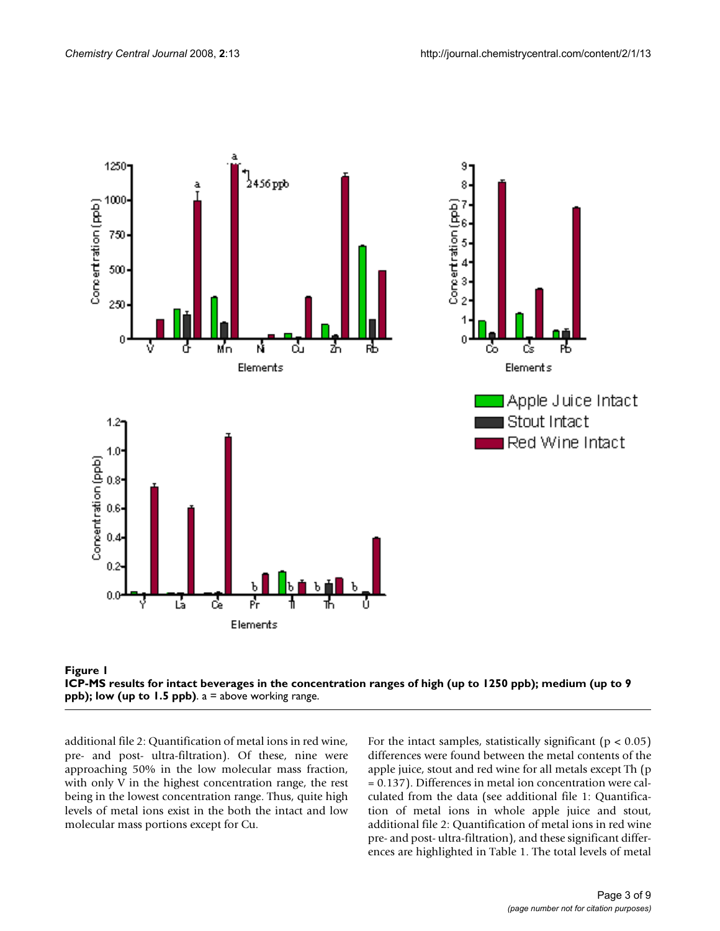



additional file 2: Quantification of metal ions in red wine, pre- and post- ultra-filtration). Of these, nine were approaching 50% in the low molecular mass fraction, with only V in the highest concentration range, the rest being in the lowest concentration range. Thus, quite high levels of metal ions exist in the both the intact and low molecular mass portions except for Cu.

For the intact samples, statistically significant ( $p < 0.05$ ) differences were found between the metal contents of the apple juice, stout and red wine for all metals except Th (p = 0.137). Differences in metal ion concentration were calculated from the data (see additional file 1: Quantification of metal ions in whole apple juice and stout, additional file 2: Quantification of metal ions in red wine pre- and post- ultra-filtration), and these significant differences are highlighted in Table 1. The total levels of metal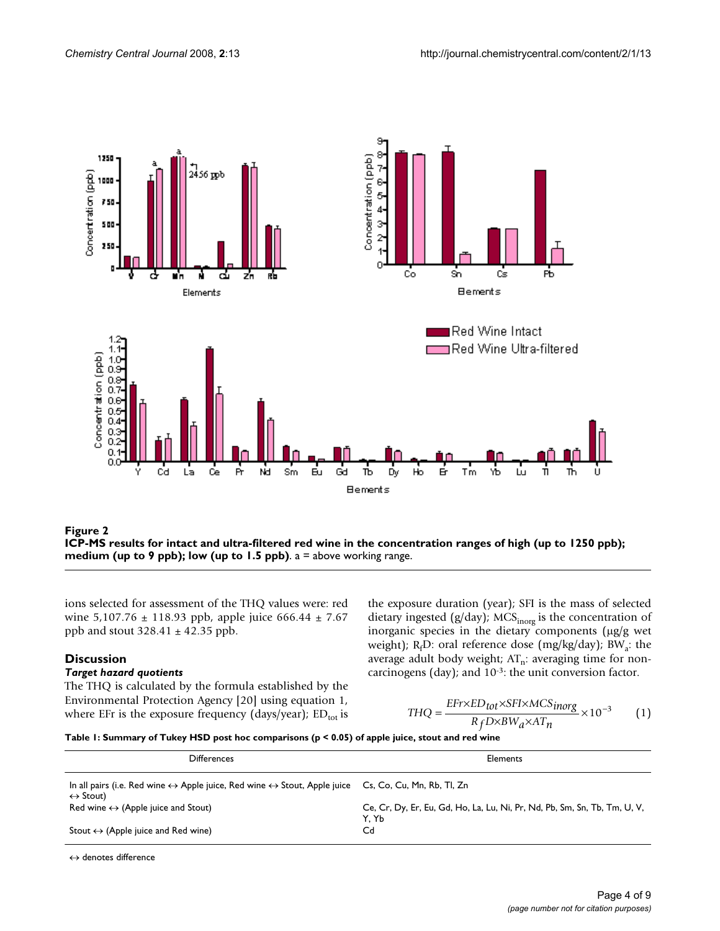

ICP-MS results for intact and ultra-filtered ppb); low (up to 1.5 ppb) **Figure 2** red wine in the concentration ranges of high (up to 1250 ppb); medium (up to 9 **ICP-MS results for intact and ultra-filtered red wine in the concentration ranges of high (up to 1250 ppb); medium (up to 9 ppb); low (up to 1.5 ppb)**. a = above working range.

ions selected for assessment of the THQ values were: red wine  $5,107.76 \pm 118.93$  ppb, apple juice  $666.44 \pm 7.67$ ppb and stout  $328.41 \pm 42.35$  ppb.

## **Discussion**

#### *Target hazard quotients*

The THQ is calculated by the formula established by the Environmental Protection Agency [20] using equation 1, where EFr is the exposure frequency (days/year);  $ED_{\text{tot}}$  is

the exposure duration (year); SFI is the mass of selected dietary ingested (g/day); MCS $_{\text{inorg}}$  is the concentration of inorganic species in the dietary components (μg/g wet weight); R<sub>f</sub>D: oral reference dose (mg/kg/day); BW<sub>a</sub>: the average adult body weight;  $AT_n$ : averaging time for noncarcinogens (day); and 10-3: the unit conversion factor.

$$
THQ = \frac{EFr \times ED_{tot} \times SFI \times MCS_{inorg}}{R_f D \times BW_a \times AT_n} \times 10^{-3}
$$
 (1)

**Table 1: Summary of Tukey HSD post hoc comparisons (p < 0.05) of apple juice, stout and red wine**

| <b>Differences</b>                                                                                                                                              | Elements                                                                           |
|-----------------------------------------------------------------------------------------------------------------------------------------------------------------|------------------------------------------------------------------------------------|
| In all pairs (i.e. Red wine $\leftrightarrow$ Apple juice, Red wine $\leftrightarrow$ Stout, Apple juice Cs, Co, Cu, Mn, Rb, Tl, Zn<br>$\leftrightarrow$ Stout) |                                                                                    |
| Red wine $\leftrightarrow$ (Apple juice and Stout)                                                                                                              | Ce, Cr, Dy, Er, Eu, Gd, Ho, La, Lu, Ni, Pr, Nd, Pb, Sm, Sn, Tb, Tm, U, V,<br>Y. Yb |
| Stout $\leftrightarrow$ (Apple juice and Red wine)                                                                                                              | Cd                                                                                 |

↔ denotes difference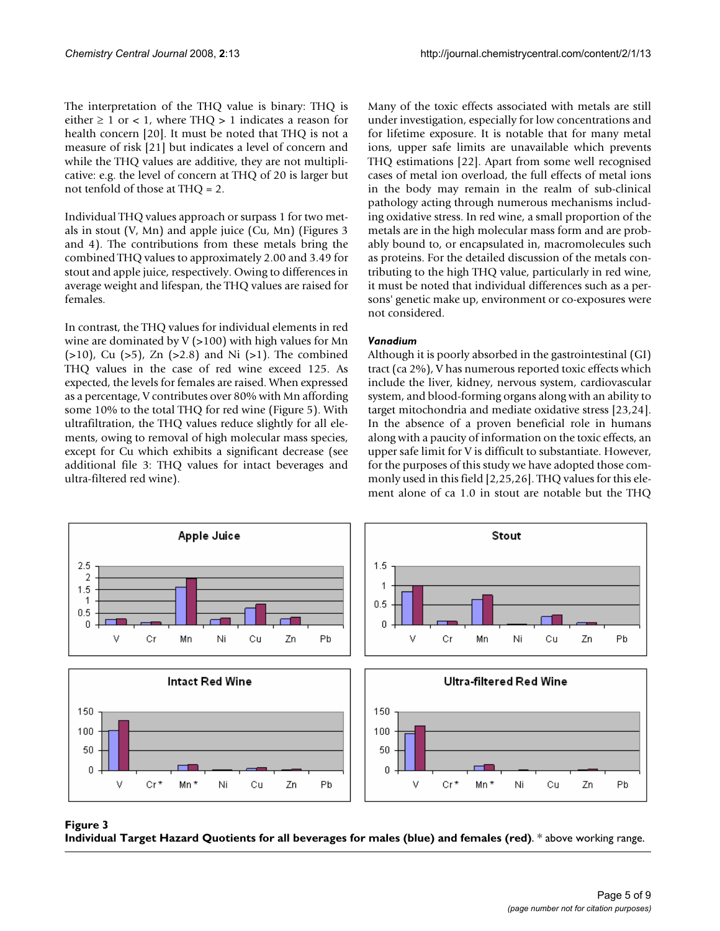The interpretation of the THQ value is binary: THQ is either  $\geq 1$  or  $\lt 1$ , where THQ  $> 1$  indicates a reason for health concern [20]. It must be noted that THQ is not a measure of risk [21] but indicates a level of concern and while the THQ values are additive, they are not multiplicative: e.g. the level of concern at THQ of 20 is larger but not tenfold of those at THQ = 2.

Individual THQ values approach or surpass 1 for two metals in stout (V, Mn) and apple juice (Cu, Mn) (Figures 3 and 4). The contributions from these metals bring the combined THQ values to approximately 2.00 and 3.49 for stout and apple juice, respectively. Owing to differences in average weight and lifespan, the THQ values are raised for females.

In contrast, the THQ values for individual elements in red wine are dominated by  $V$  (>100) with high values for Mn  $(>10)$ , Cu  $(>5)$ , Zn  $(>2.8)$  and Ni  $(>1)$ . The combined THQ values in the case of red wine exceed 125. As expected, the levels for females are raised. When expressed as a percentage, V contributes over 80% with Mn affording some 10% to the total THQ for red wine (Figure 5). With ultrafiltration, the THQ values reduce slightly for all elements, owing to removal of high molecular mass species, except for Cu which exhibits a significant decrease (see additional file 3: THQ values for intact beverages and ultra-filtered red wine).

Many of the toxic effects associated with metals are still under investigation, especially for low concentrations and for lifetime exposure. It is notable that for many metal ions, upper safe limits are unavailable which prevents THQ estimations [22]. Apart from some well recognised cases of metal ion overload, the full effects of metal ions in the body may remain in the realm of sub-clinical pathology acting through numerous mechanisms including oxidative stress. In red wine, a small proportion of the metals are in the high molecular mass form and are probably bound to, or encapsulated in, macromolecules such as proteins. For the detailed discussion of the metals contributing to the high THQ value, particularly in red wine, it must be noted that individual differences such as a persons' genetic make up, environment or co-exposures were not considered.

#### *Vanadium*

Although it is poorly absorbed in the gastrointestinal (GI) tract (ca 2%), V has numerous reported toxic effects which include the liver, kidney, nervous system, cardiovascular system, and blood-forming organs along with an ability to target mitochondria and mediate oxidative stress [23,24]. In the absence of a proven beneficial role in humans along with a paucity of information on the toxic effects, an upper safe limit for V is difficult to substantiate. However, for the purposes of this study we have adopted those commonly used in this field [2,25,26]. THQ values for this element alone of ca 1.0 in stout are notable but the THQ



## Individual Target Hazard Quotients for all **Figure 3** beverages for males (blue) and females (red)

**Individual Target Hazard Quotients for all beverages for males (blue) and females (red)**. \* above working range.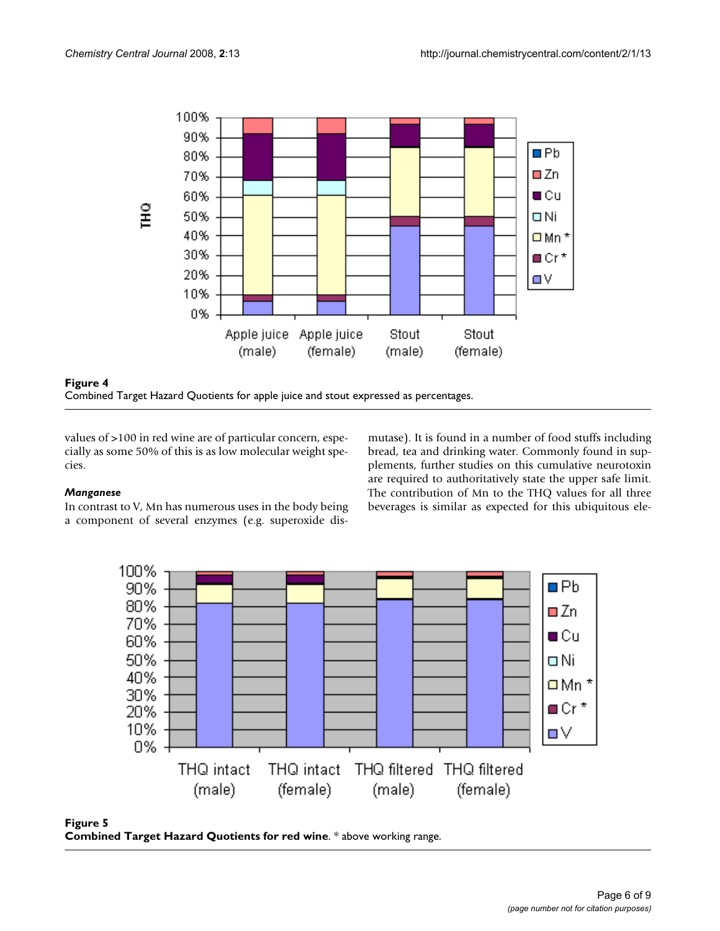



values of >100 in red wine are of particular concern, especially as some 50% of this is as low molecular weight species.

#### *Manganese*

In contrast to V, Mn has numerous uses in the body being a component of several enzymes (e.g. superoxide dismutase). It is found in a number of food stuffs including bread, tea and drinking water. Commonly found in supplements, further studies on this cumulative neurotoxin are required to authoritatively state the upper safe limit. The contribution of Mn to the THQ values for all three beverages is similar as expected for this ubiquitous ele-



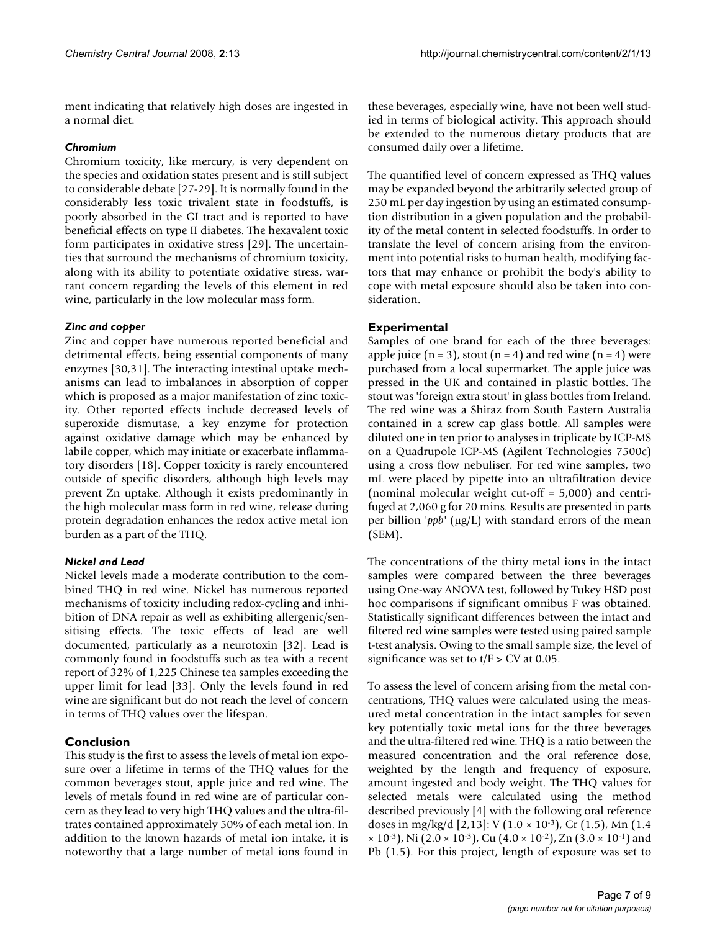ment indicating that relatively high doses are ingested in a normal diet.

#### *Chromium*

Chromium toxicity, like mercury, is very dependent on the species and oxidation states present and is still subject to considerable debate [27-29]. It is normally found in the considerably less toxic trivalent state in foodstuffs, is poorly absorbed in the GI tract and is reported to have beneficial effects on type II diabetes. The hexavalent toxic form participates in oxidative stress [29]. The uncertainties that surround the mechanisms of chromium toxicity, along with its ability to potentiate oxidative stress, warrant concern regarding the levels of this element in red wine, particularly in the low molecular mass form.

#### *Zinc and copper*

Zinc and copper have numerous reported beneficial and detrimental effects, being essential components of many enzymes [30,31]. The interacting intestinal uptake mechanisms can lead to imbalances in absorption of copper which is proposed as a major manifestation of zinc toxicity. Other reported effects include decreased levels of superoxide dismutase, a key enzyme for protection against oxidative damage which may be enhanced by labile copper, which may initiate or exacerbate inflammatory disorders [18]. Copper toxicity is rarely encountered outside of specific disorders, although high levels may prevent Zn uptake. Although it exists predominantly in the high molecular mass form in red wine, release during protein degradation enhances the redox active metal ion burden as a part of the THQ.

#### *Nickel and Lead*

Nickel levels made a moderate contribution to the combined THQ in red wine. Nickel has numerous reported mechanisms of toxicity including redox-cycling and inhibition of DNA repair as well as exhibiting allergenic/sensitising effects. The toxic effects of lead are well documented, particularly as a neurotoxin [32]. Lead is commonly found in foodstuffs such as tea with a recent report of 32% of 1,225 Chinese tea samples exceeding the upper limit for lead [33]. Only the levels found in red wine are significant but do not reach the level of concern in terms of THQ values over the lifespan.

## **Conclusion**

This study is the first to assess the levels of metal ion exposure over a lifetime in terms of the THQ values for the common beverages stout, apple juice and red wine. The levels of metals found in red wine are of particular concern as they lead to very high THQ values and the ultra-filtrates contained approximately 50% of each metal ion. In addition to the known hazards of metal ion intake, it is noteworthy that a large number of metal ions found in these beverages, especially wine, have not been well studied in terms of biological activity. This approach should be extended to the numerous dietary products that are consumed daily over a lifetime.

The quantified level of concern expressed as THQ values may be expanded beyond the arbitrarily selected group of 250 mL per day ingestion by using an estimated consumption distribution in a given population and the probability of the metal content in selected foodstuffs. In order to translate the level of concern arising from the environment into potential risks to human health, modifying factors that may enhance or prohibit the body's ability to cope with metal exposure should also be taken into consideration.

## **Experimental**

Samples of one brand for each of the three beverages: apple juice  $(n = 3)$ , stout  $(n = 4)$  and red wine  $(n = 4)$  were purchased from a local supermarket. The apple juice was pressed in the UK and contained in plastic bottles. The stout was 'foreign extra stout' in glass bottles from Ireland. The red wine was a Shiraz from South Eastern Australia contained in a screw cap glass bottle. All samples were diluted one in ten prior to analyses in triplicate by ICP-MS on a Quadrupole ICP-MS (Agilent Technologies 7500c) using a cross flow nebuliser. For red wine samples, two mL were placed by pipette into an ultrafiltration device (nominal molecular weight cut-off = 5,000) and centrifuged at 2,060 g for 20 mins. Results are presented in parts per billion '*ppb'* (μg/L) with standard errors of the mean (SEM).

The concentrations of the thirty metal ions in the intact samples were compared between the three beverages using One-way ANOVA test, followed by Tukey HSD post hoc comparisons if significant omnibus F was obtained. Statistically significant differences between the intact and filtered red wine samples were tested using paired sample t-test analysis. Owing to the small sample size, the level of significance was set to  $t/F > CV$  at 0.05.

To assess the level of concern arising from the metal concentrations, THQ values were calculated using the measured metal concentration in the intact samples for seven key potentially toxic metal ions for the three beverages and the ultra-filtered red wine. THQ is a ratio between the measured concentration and the oral reference dose, weighted by the length and frequency of exposure, amount ingested and body weight. The THQ values for selected metals were calculated using the method described previously [4] with the following oral reference doses in mg/kg/d [2,13]: V (1.0 × 10-3), Cr (1.5), Mn (1.4  $\times$  10<sup>-3</sup>), Ni (2.0  $\times$  10<sup>-3</sup>), Cu (4.0  $\times$  10<sup>-2</sup>), Zn (3.0  $\times$  10<sup>-1</sup>) and Pb (1.5). For this project, length of exposure was set to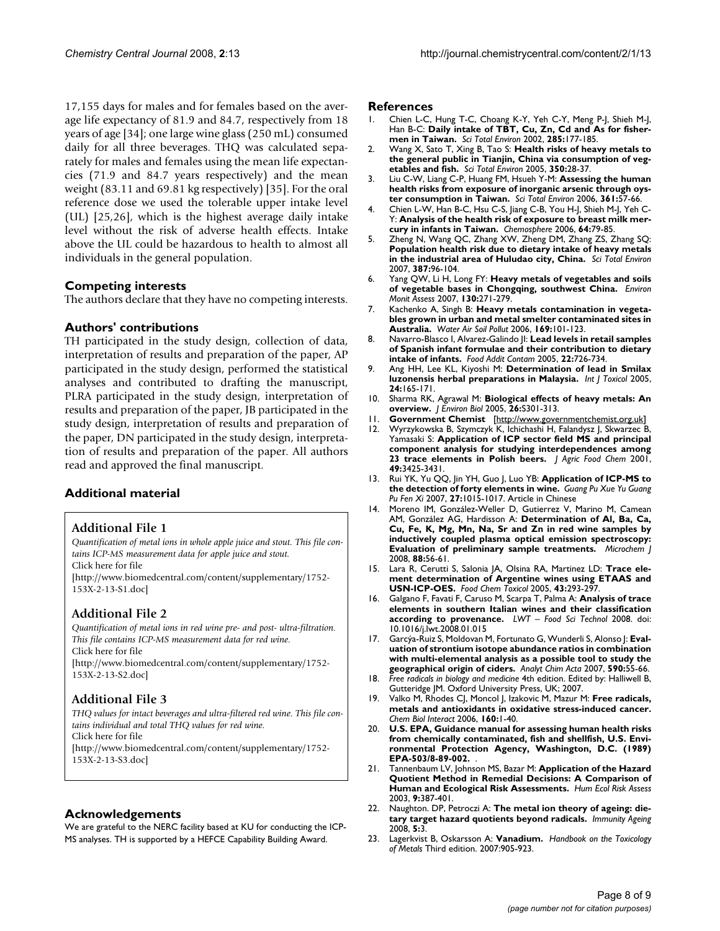17,155 days for males and for females based on the average life expectancy of 81.9 and 84.7, respectively from 18 years of age [34]; one large wine glass (250 mL) consumed daily for all three beverages. THQ was calculated separately for males and females using the mean life expectancies (71.9 and 84.7 years respectively) and the mean weight (83.11 and 69.81 kg respectively) [35]. For the oral reference dose we used the tolerable upper intake level (UL) [25,26], which is the highest average daily intake level without the risk of adverse health effects. Intake above the UL could be hazardous to health to almost all individuals in the general population.

#### **Competing interests**

The authors declare that they have no competing interests.

#### **Authors' contributions**

TH participated in the study design, collection of data, interpretation of results and preparation of the paper, AP participated in the study design, performed the statistical analyses and contributed to drafting the manuscript, PLRA participated in the study design, interpretation of results and preparation of the paper, JB participated in the study design, interpretation of results and preparation of the paper, DN participated in the study design, interpretation of results and preparation of the paper. All authors read and approved the final manuscript.

## **Additional material**

#### **Additional File 1**

*Quantification of metal ions in whole apple juice and stout. This file contains ICP-MS measurement data for apple juice and stout.*

Click here for file [\[http://www.biomedcentral.com/content/supplementary/1752-](http://www.biomedcentral.com/content/supplementary/1752-153X-2-13-S1.doc) 153X-2-13-S1.doc]

## **Additional File 2**

*Quantification of metal ions in red wine pre- and post- ultra-filtration. This file contains ICP-MS measurement data for red wine.* Click here for file [\[http://www.biomedcentral.com/content/supplementary/1752-](http://www.biomedcentral.com/content/supplementary/1752-153X-2-13-S2.doc) 153X-2-13-S2.doc]

## **Additional File 3**

*THQ values for intact beverages and ultra-filtered red wine. This file contains individual and total THQ values for red wine.* Click here for file [\[http://www.biomedcentral.com/content/supplementary/1752-](http://www.biomedcentral.com/content/supplementary/1752-153X-2-13-S3.doc) 153X-2-13-S3.doc]

#### **Acknowledgements**

We are grateful to the NERC facility based at KU for conducting the ICP-MS analyses. TH is supported by a HEFCE Capability Building Award.

#### **References**

- 1. Chien L-C, Hung T-C, Choang K-Y, Yeh C-Y, Meng P-J, Shieh M-J, Han B-C: **[Daily intake of TBT, Cu, Zn, Cd and As for fisher](http://www.ncbi.nlm.nih.gov/entrez/query.fcgi?cmd=Retrieve&db=PubMed&dopt=Abstract&list_uids=11874040)[men in Taiwan.](http://www.ncbi.nlm.nih.gov/entrez/query.fcgi?cmd=Retrieve&db=PubMed&dopt=Abstract&list_uids=11874040)** *Sci Total Environ* 2002, **285:**177-185.
- 2. Wang X, Sato T, Xing B, Tao S: **[Health risks of heavy metals to](http://www.ncbi.nlm.nih.gov/entrez/query.fcgi?cmd=Retrieve&db=PubMed&dopt=Abstract&list_uids=16227070) [the general public in Tianjin, China via consumption of veg](http://www.ncbi.nlm.nih.gov/entrez/query.fcgi?cmd=Retrieve&db=PubMed&dopt=Abstract&list_uids=16227070)[etables and fish.](http://www.ncbi.nlm.nih.gov/entrez/query.fcgi?cmd=Retrieve&db=PubMed&dopt=Abstract&list_uids=16227070)** *Sci Total Environ* 2005, **350:**28-37.
- 3. Liu C-W, Liang C-P, Huang FM, Hsueh Y-M: **[Assessing the human](http://www.ncbi.nlm.nih.gov/entrez/query.fcgi?cmd=Retrieve&db=PubMed&dopt=Abstract&list_uids=16122780) [health risks from exposure of inorganic arsenic through oys](http://www.ncbi.nlm.nih.gov/entrez/query.fcgi?cmd=Retrieve&db=PubMed&dopt=Abstract&list_uids=16122780)[ter consumption in Taiwan.](http://www.ncbi.nlm.nih.gov/entrez/query.fcgi?cmd=Retrieve&db=PubMed&dopt=Abstract&list_uids=16122780)** *Sci Total Environ* 2006, **361:**57-66.
- 4. Chien L-W, Han B-C, Hsu C-S, Jiang C-B, You H-J, Shieh M-J, Yeh C-Y: **[Analysis of the health risk of exposure to breast milk mer](http://www.ncbi.nlm.nih.gov/entrez/query.fcgi?cmd=Retrieve&db=PubMed&dopt=Abstract&list_uids=16442149)[cury in infants in Taiwan.](http://www.ncbi.nlm.nih.gov/entrez/query.fcgi?cmd=Retrieve&db=PubMed&dopt=Abstract&list_uids=16442149)** *Chemosphere* 2006, **64:**79-85.
- 5. Zheng N, Wang QC, Zhang XW, Zheng DM, Zhang ZS, Zhang SQ: **[Population health risk due to dietary intake of heavy metals](http://www.ncbi.nlm.nih.gov/entrez/query.fcgi?cmd=Retrieve&db=PubMed&dopt=Abstract&list_uids=17765948) [in the industrial area of Huludao city, China.](http://www.ncbi.nlm.nih.gov/entrez/query.fcgi?cmd=Retrieve&db=PubMed&dopt=Abstract&list_uids=17765948)** *Sci Total Environ* 2007, **387:**96-104.
- 6. Yang QW, Li H, Long FY: **[Heavy metals of vegetables and soils](http://www.ncbi.nlm.nih.gov/entrez/query.fcgi?cmd=Retrieve&db=PubMed&dopt=Abstract&list_uids=17057956) [of vegetable bases in Chongqing, southwest China.](http://www.ncbi.nlm.nih.gov/entrez/query.fcgi?cmd=Retrieve&db=PubMed&dopt=Abstract&list_uids=17057956)** *Environ Monit Assess* 2007, **130:**271-279.
- 7. Kachenko A, Singh B: **Heavy metals contamination in vegetables grown in urban and metal smelter contaminated sites in Australia.** *Water Air Soil Pollut* 2006, **169:**101-123.
- 8. Navarro-Blasco I, Alvarez-Galindo JI: **[Lead levels in retail samples](http://www.ncbi.nlm.nih.gov/entrez/query.fcgi?cmd=Retrieve&db=PubMed&dopt=Abstract&list_uids=16147428) [of Spanish infant formulae and their contribution to dietary](http://www.ncbi.nlm.nih.gov/entrez/query.fcgi?cmd=Retrieve&db=PubMed&dopt=Abstract&list_uids=16147428) [intake of infants.](http://www.ncbi.nlm.nih.gov/entrez/query.fcgi?cmd=Retrieve&db=PubMed&dopt=Abstract&list_uids=16147428)** *Food Addit Contam* 2005, **22:**726-734.
- 9. Ang HH, Lee KL, Kiyoshi M: **[Determination of lead in Smilax](http://www.ncbi.nlm.nih.gov/entrez/query.fcgi?cmd=Retrieve&db=PubMed&dopt=Abstract&list_uids=16040569) [luzonensis herbal preparations in Malaysia.](http://www.ncbi.nlm.nih.gov/entrez/query.fcgi?cmd=Retrieve&db=PubMed&dopt=Abstract&list_uids=16040569)** *Int J Toxicol* 2005, **24:**165-171.
- 10. Sharma RK, Agrawal M: **Biological effects of heavy metals: An overview.** *J Environ Biol* 2005, **26:**S301-313.
- 11. **Government Chemist** [\[http://www.governmentchemist.org.uk](http://www.governmentchemist.org.uk)]
- 12. Wyrzykowska B, Szymczyk K, Ichichashi H, Falandysz J, Skwarzec B, Yamasaki S: **[Application of ICP sector field MS and principal](http://www.ncbi.nlm.nih.gov/entrez/query.fcgi?cmd=Retrieve&db=PubMed&dopt=Abstract&list_uids=11453786) [component analysis for studying interdependences among](http://www.ncbi.nlm.nih.gov/entrez/query.fcgi?cmd=Retrieve&db=PubMed&dopt=Abstract&list_uids=11453786) [23 trace elements in Polish beers.](http://www.ncbi.nlm.nih.gov/entrez/query.fcgi?cmd=Retrieve&db=PubMed&dopt=Abstract&list_uids=11453786)** *J Agric Food Chem* 2001, **49:**3425-3431.
- 13. Rui YK, Yu QQ, Jin YH, Guo J, Luo YB: **[Application of ICP-MS to](http://www.ncbi.nlm.nih.gov/entrez/query.fcgi?cmd=Retrieve&db=PubMed&dopt=Abstract&list_uids=17655127) [the detection of forty elements in wine.](http://www.ncbi.nlm.nih.gov/entrez/query.fcgi?cmd=Retrieve&db=PubMed&dopt=Abstract&list_uids=17655127)** *Guang Pu Xue Yu Guang Pu Fen Xi* 2007, **27:**1015-1017. Article in Chinese
- 14. Moreno IM, González-Weller D, Gutierrez V, Marino M, Camean AM, González AG, Hardisson A: **Determination of Al, Ba, Ca, Cu, Fe, K, Mg, Mn, Na, Sr and Zn in red wine samples by inductively coupled plasma optical emission spectroscopy: Evaluation of preliminary sample treatments.** *Microchem J* 2008, **88:**56-61.
- 15. Lara R, Cerutti S, Salonia JA, Olsina RA, Martinez LD: **[Trace ele](http://www.ncbi.nlm.nih.gov/entrez/query.fcgi?cmd=Retrieve&db=PubMed&dopt=Abstract&list_uids=15621342)[ment determination of Argentine wines using ETAAS and](http://www.ncbi.nlm.nih.gov/entrez/query.fcgi?cmd=Retrieve&db=PubMed&dopt=Abstract&list_uids=15621342) [USN-ICP-OES.](http://www.ncbi.nlm.nih.gov/entrez/query.fcgi?cmd=Retrieve&db=PubMed&dopt=Abstract&list_uids=15621342)** *Food Chem Toxicol* 2005, **43:**293-297.
- 16. Galgano F, Favati F, Caruso M, Scarpa T, Palma A: **Analysis of trace elements in southern Italian wines and their classification according to provenance.** *LWT – Food Sci Technol* 2008. doi: 10.1016/j.lwt.2008.01.015
- 17. Garcýa-Ruiz S, Moldovan M, Fortunato G, Wunderli S, Alonso J: **Evaluation of strontium isotope abundance ratios in combination with multi-elemental analysis as a possible tool to study the geographical origin of ciders.** *Analyt Chim Acta* 2007, **590:**55-66.
- 18. *Free radicals in biology and medicine* 4th edition. Edited by: Halliwell B, Gutteridge JM. Oxford University Press, UK; 2007.
- 19. Valko M, Rhodes CJ, Moncol J, Izakovic M, Mazur M: **[Free radicals,](http://www.ncbi.nlm.nih.gov/entrez/query.fcgi?cmd=Retrieve&db=PubMed&dopt=Abstract&list_uids=16430879) [metals and antioxidants in oxidative stress-induced cancer.](http://www.ncbi.nlm.nih.gov/entrez/query.fcgi?cmd=Retrieve&db=PubMed&dopt=Abstract&list_uids=16430879)** *Chem Biol Interact* 2006, **160:**1-40.
- 20. **U.S. EPA, Guidance manual for assessing human health risks from chemically contaminated, fish and shellfish, U.S. Environmental Protection Agency, Washington, D.C. (1989) EPA-503/8-89-002.** .
- 21. Tannenbaum LV, Johnson MS, Bazar M: **Application of the Hazard Quotient Method in Remedial Decisions: A Comparison of Human and Ecological Risk Assessments.** *Hum Ecol Risk Assess* 2003, **9:**387-401.
- 22. Naughton. DP, Petroczi A: **[The metal ion theory of ageing: die](http://www.ncbi.nlm.nih.gov/entrez/query.fcgi?cmd=Retrieve&db=PubMed&dopt=Abstract&list_uids=18492242)[tary target hazard quotients beyond radicals.](http://www.ncbi.nlm.nih.gov/entrez/query.fcgi?cmd=Retrieve&db=PubMed&dopt=Abstract&list_uids=18492242)** *Immunity Ageing* 2008, **5:**3.
- 23. Lagerkvist B, Oskarsson A: **Vanadium.** *Handbook on the Toxicology of Metals* Third edition. 2007:905-923.